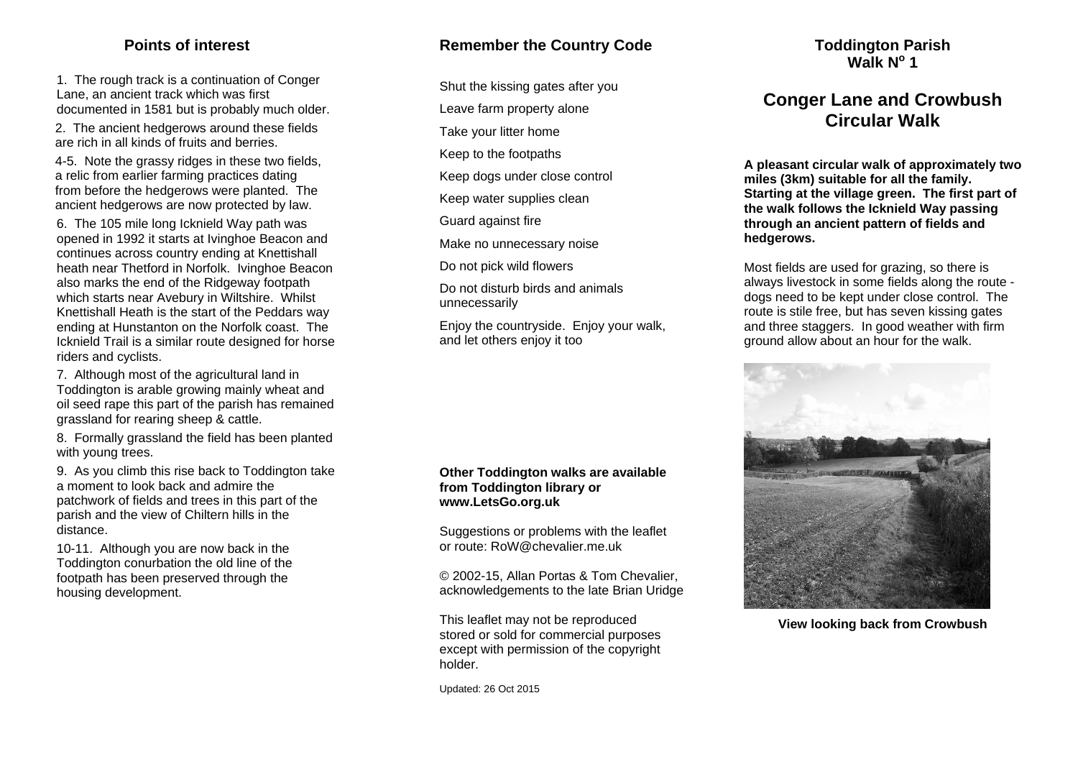## **Points of interest**

1. The rough track is a continuation of Conger Lane, an ancient track which was first documented in 1581 but is probably much older.

2. The ancient hedgerows around these fields are rich in all kinds of fruits and berries.

4-5. Note the grassy ridges in these two fields, a relic from earlier farming practices dating from before the hedgerows were planted. The ancient hedgerows are now protected by law.

6. The 105 mile long Icknield Way path was opened in 1992 it starts at Ivinghoe Beacon and continues across country ending at Knettishall heath near Thetford in Norfolk. Ivinghoe Beacon also marks the end of the Ridgeway footpath which starts near Avebury in Wiltshire. Whilst Knettishall Heath is the start of the Peddars way ending at Hunstanton on the Norfolk coast. The Icknield Trail is a similar route designed for horse riders and cyclists.

7. Although most of the agricultural land in Toddington is arable growing mainly wheat and oil seed rape this part of the parish has remained grassland for rearing sheep & cattle.

8. Formally grassland the field has been planted with young trees.

9. As you climb this rise back to Toddington take a moment to look back and admire the patchwork of fields and trees in this part of the parish and the view of Chiltern hills in the distance.

10-11. Although you are now back in the Toddington conurbation the old line of the footpath has been preserved through the housing development.

## **Remember the Country Code**

Shut the kissing gates after you

Leave farm property alone

Take your litter home

Keep to the footpaths

Keep dogs under close control

Keep water supplies clean

Guard against fire

Make no unnecessary noise

Do not pick wild flowers

Do not disturb birds and animals unnecessarily

Enjoy the countryside. Enjoy your walk, and let others enjoy it too

#### **Other Toddington walks are available from Toddington library or www.LetsGo.org.uk**

Suggestions or problems with the leaflet or route: RoW@chevalier.me.uk

© 2002-15, Allan Portas & Tom Chevalier, acknowledgements to the late Brian Uridge

This leaflet may not be reproduced stored or sold for commercial purposes except with permission of the copyright holder.

Updated: 26 Oct 2015

## **Toddington Parish Walk No 1**

# **Conger Lane and Crowbush Circular Walk**

**A pleasant circular walk of approximately two miles (3km) suitable for all the family. Starting at the village green. The first part of the walk follows the Icknield Way passing through an ancient pattern of fields and hedgerows.** 

Most fields are used for grazing, so there is always livestock in some fields along the route dogs need to be kept under close control. The route is stile free, but has seven kissing gates and three staggers. In good weather with firm ground allow about an hour for the walk.



**View looking back from Crowbush**